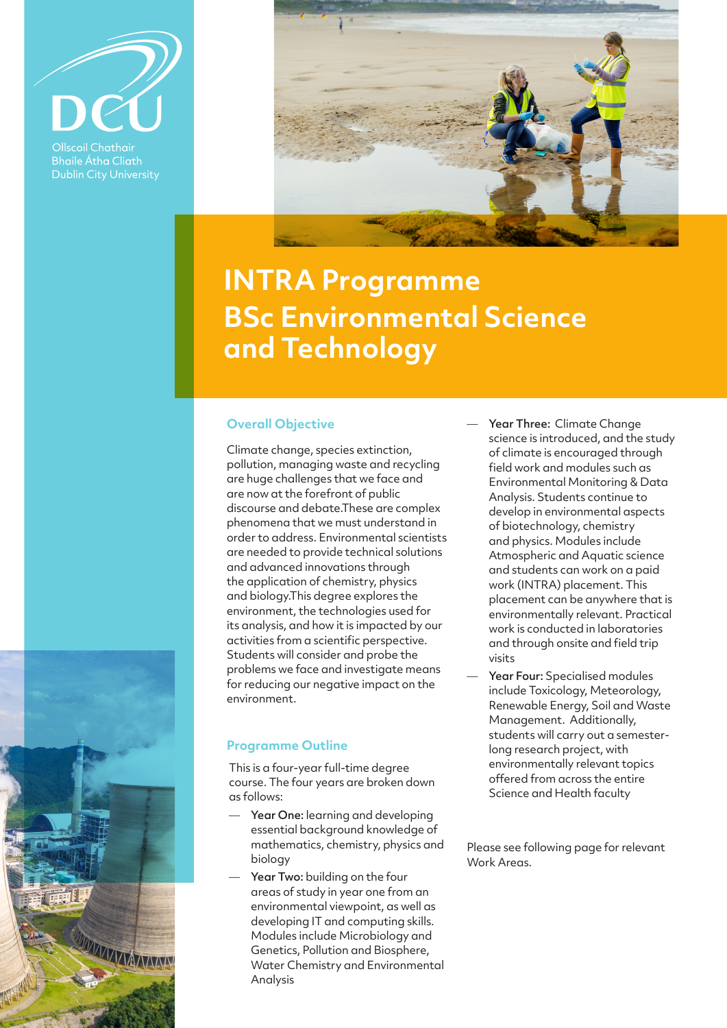

**Ollscoil Chathair Bhaile Átha Cliath Dublin City University** 

WWWAZWA



# **INTRA Programme BSc Environmental Science and Technology**

## **Overall Objective**

Climate change, species extinction, pollution, managing waste and recycling are huge challenges that we face and are now at the forefront of public discourse and debate.These are complex phenomena that we must understand in order to address. Environmental scientists are needed to provide technical solutions and advanced innovations through the application of chemistry, physics and biology.This degree explores the environment, the technologies used for its analysis, and how it is impacted by our activities from a scientific perspective. Students will consider and probe the problems we face and investigate means for reducing our negative impact on the environment.

## **Programme Outline**

This is a four-year full-time degree course. The four years are broken down as follows:

- Year One: learning and developing essential background knowledge of mathematics, chemistry, physics and biology
- Year Two: building on the four areas of study in year one from an environmental viewpoint, as well as developing IT and computing skills. Modules include Microbiology and Genetics, Pollution and Biosphere, Water Chemistry and Environmental Analysis
- Year Three: Climate Change science is introduced, and the study of climate is encouraged through field work and modules such as Environmental Monitoring & Data Analysis. Students continue to develop in environmental aspects of biotechnology, chemistry and physics. Modules include Atmospheric and Aquatic science and students can work on a paid work (INTRA) placement. This placement can be anywhere that is environmentally relevant. Practical work is conducted in laboratories and through onsite and field trip visits
- Year Four: Specialised modules include Toxicology, Meteorology, Renewable Energy, Soil and Waste Management. Additionally, students will carry out a semesterlong research project, with environmentally relevant topics offered from across the entire Science and Health faculty

Please see following page for relevant Work Areas.